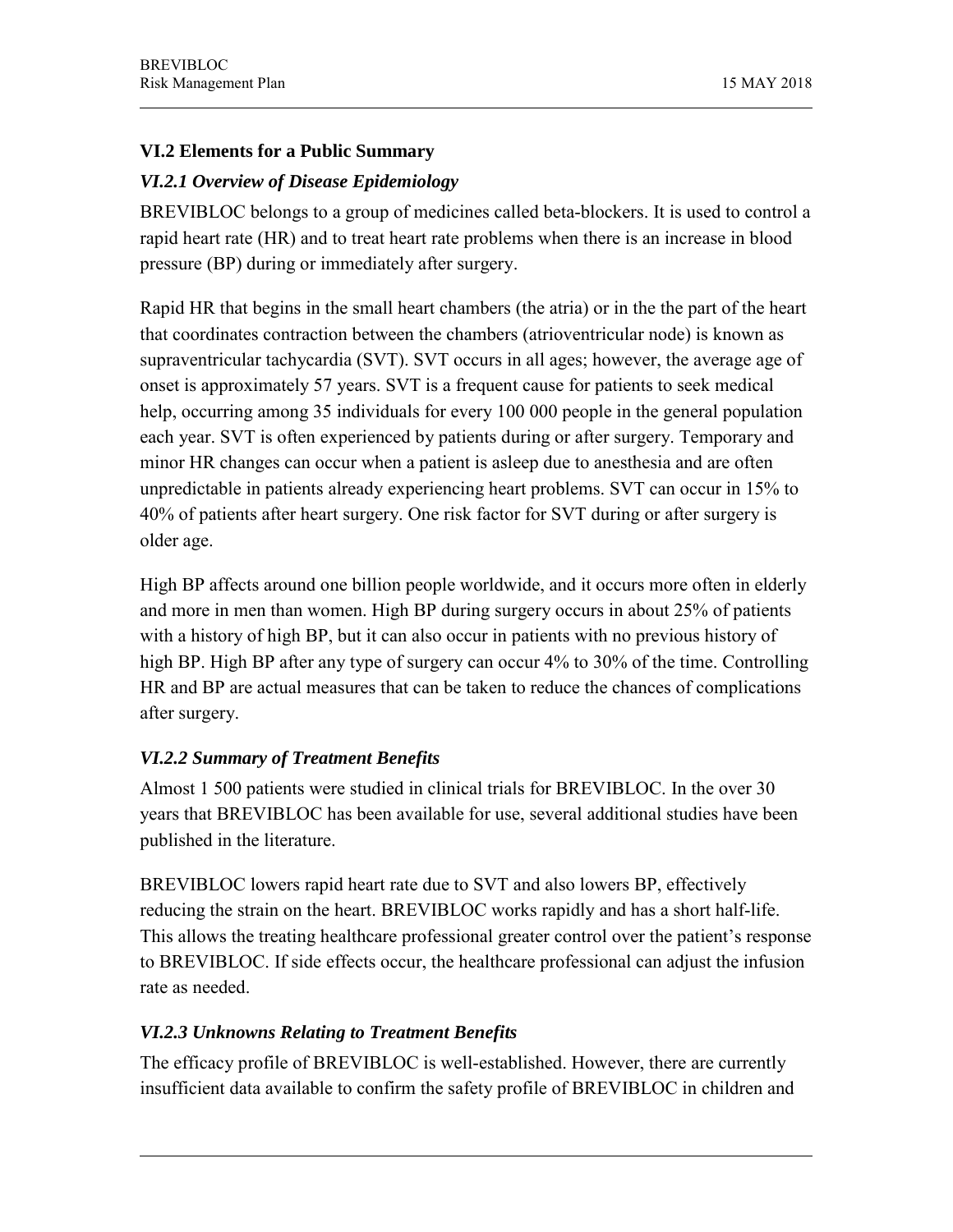# **VI.2 Elements for a Public Summary**

# *VI.2.1 Overview of Disease Epidemiology*

BREVIBLOC belongs to a group of medicines called beta-blockers. It is used to control a rapid heart rate (HR) and to treat heart rate problems when there is an increase in blood pressure (BP) during or immediately after surgery.

Rapid HR that begins in the small heart chambers (the atria) or in the the part of the heart that coordinates contraction between the chambers (atrioventricular node) is known as supraventricular tachycardia (SVT). SVT occurs in all ages; however, the average age of onset is approximately 57 years. SVT is a frequent cause for patients to seek medical help, occurring among 35 individuals for every 100 000 people in the general population each year. SVT is often experienced by patients during or after surgery. Temporary and minor HR changes can occur when a patient is asleep due to anesthesia and are often unpredictable in patients already experiencing heart problems. SVT can occur in 15% to 40% of patients after heart surgery. One risk factor for SVT during or after surgery is older age.

High BP affects around one billion people worldwide, and it occurs more often in elderly and more in men than women. High BP during surgery occurs in about 25% of patients with a history of high BP, but it can also occur in patients with no previous history of high BP. High BP after any type of surgery can occur 4% to 30% of the time. Controlling HR and BP are actual measures that can be taken to reduce the chances of complications after surgery.

# *VI.2.2 Summary of Treatment Benefits*

Almost 1 500 patients were studied in clinical trials for BREVIBLOC. In the over 30 years that BREVIBLOC has been available for use, several additional studies have been published in the literature.

BREVIBLOC lowers rapid heart rate due to SVT and also lowers BP, effectively reducing the strain on the heart. BREVIBLOC works rapidly and has a short half-life. This allows the treating healthcare professional greater control over the patient's response to BREVIBLOC. If side effects occur, the healthcare professional can adjust the infusion rate as needed.

### *VI.2.3 Unknowns Relating to Treatment Benefits*

The efficacy profile of BREVIBLOC is well-established. However, there are currently insufficient data available to confirm the safety profile of BREVIBLOC in children and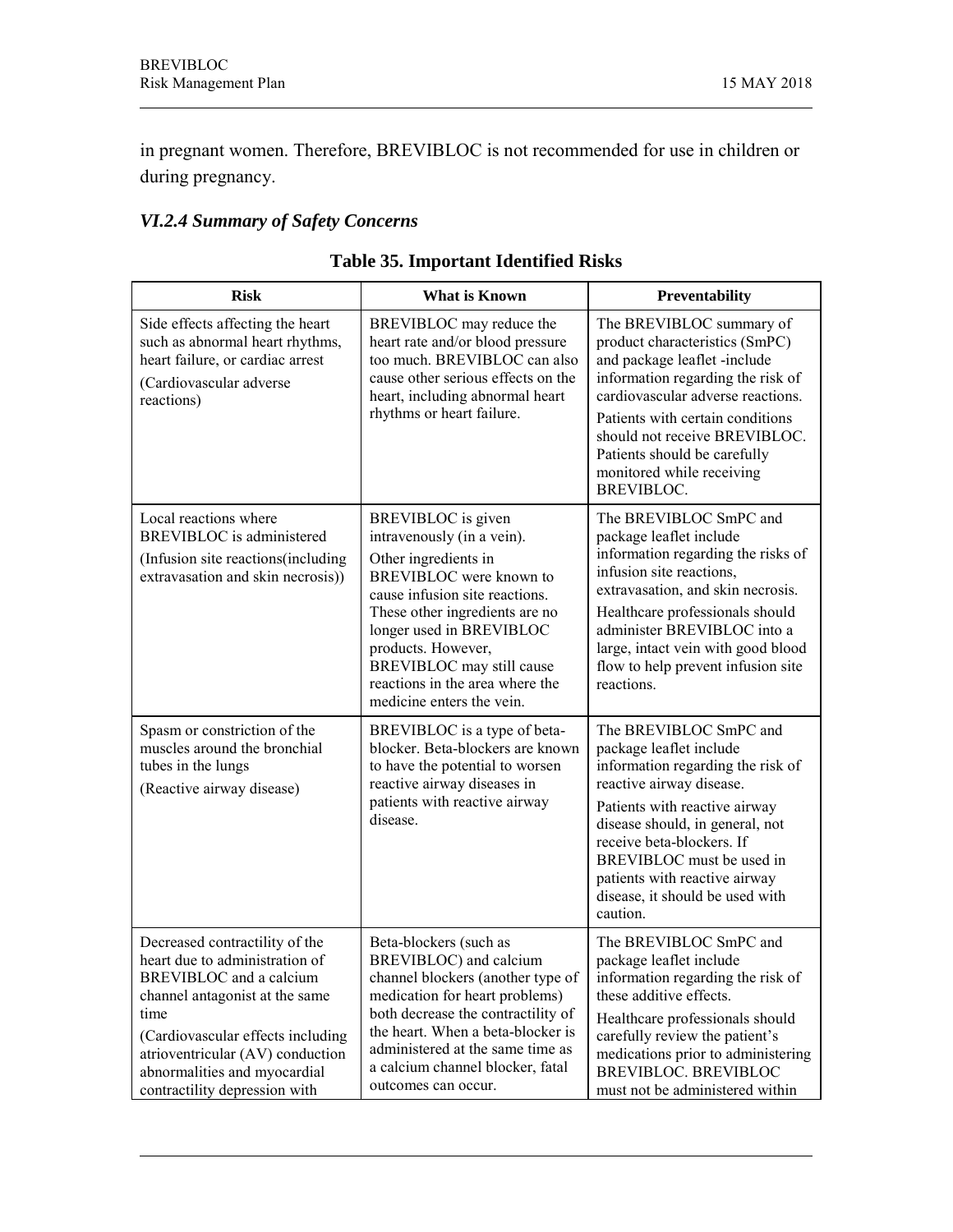in pregnant women. Therefore, BREVIBLOC is not recommended for use in children or during pregnancy.

# *VI.2.4 Summary of Safety Concerns*

| <b>Risk</b>                                                                                                                                                                                                                                                                     | <b>What is Known</b>                                                                                                                                                                                                                                                                                                   | Preventability                                                                                                                                                                                                                                                                                                                   |
|---------------------------------------------------------------------------------------------------------------------------------------------------------------------------------------------------------------------------------------------------------------------------------|------------------------------------------------------------------------------------------------------------------------------------------------------------------------------------------------------------------------------------------------------------------------------------------------------------------------|----------------------------------------------------------------------------------------------------------------------------------------------------------------------------------------------------------------------------------------------------------------------------------------------------------------------------------|
| Side effects affecting the heart<br>such as abnormal heart rhythms,<br>heart failure, or cardiac arrest<br>(Cardiovascular adverse<br>reactions)                                                                                                                                | BREVIBLOC may reduce the<br>heart rate and/or blood pressure<br>too much. BREVIBLOC can also<br>cause other serious effects on the<br>heart, including abnormal heart<br>rhythms or heart failure.                                                                                                                     | The BREVIBLOC summary of<br>product characteristics (SmPC)<br>and package leaflet -include<br>information regarding the risk of<br>cardiovascular adverse reactions.<br>Patients with certain conditions<br>should not receive BREVIBLOC.<br>Patients should be carefully<br>monitored while receiving<br><b>BREVIBLOC.</b>      |
| Local reactions where<br>BREVIBLOC is administered<br>(Infusion site reactions (including)<br>extravasation and skin necrosis))                                                                                                                                                 | BREVIBLOC is given<br>intravenously (in a vein).<br>Other ingredients in<br>BREVIBLOC were known to<br>cause infusion site reactions.<br>These other ingredients are no<br>longer used in BREVIBLOC<br>products. However,<br>BREVIBLOC may still cause<br>reactions in the area where the<br>medicine enters the vein. | The BREVIBLOC SmPC and<br>package leaflet include<br>information regarding the risks of<br>infusion site reactions,<br>extravasation, and skin necrosis.<br>Healthcare professionals should<br>administer BREVIBLOC into a<br>large, intact vein with good blood<br>flow to help prevent infusion site<br>reactions.             |
| Spasm or constriction of the<br>muscles around the bronchial<br>tubes in the lungs<br>(Reactive airway disease)                                                                                                                                                                 | BREVIBLOC is a type of beta-<br>blocker. Beta-blockers are known<br>to have the potential to worsen<br>reactive airway diseases in<br>patients with reactive airway<br>disease.                                                                                                                                        | The BREVIBLOC SmPC and<br>package leaflet include<br>information regarding the risk of<br>reactive airway disease.<br>Patients with reactive airway<br>disease should, in general, not<br>receive beta-blockers. If<br>BREVIBLOC must be used in<br>patients with reactive airway<br>disease, it should be used with<br>caution. |
| Decreased contractility of the<br>heart due to administration of<br>BREVIBLOC and a calcium<br>channel antagonist at the same<br>time<br>(Cardiovascular effects including<br>atrioventricular (AV) conduction<br>abnormalities and myocardial<br>contractility depression with | Beta-blockers (such as<br>BREVIBLOC) and calcium<br>channel blockers (another type of<br>medication for heart problems)<br>both decrease the contractility of<br>the heart. When a beta-blocker is<br>administered at the same time as<br>a calcium channel blocker, fatal<br>outcomes can occur.                      | The BREVIBLOC SmPC and<br>package leaflet include<br>information regarding the risk of<br>these additive effects.<br>Healthcare professionals should<br>carefully review the patient's<br>medications prior to administering<br><b>BREVIBLOC. BREVIBLOC</b><br>must not be administered within                                   |

|  | <b>Table 35. Important Identified Risks</b> |  |  |
|--|---------------------------------------------|--|--|
|--|---------------------------------------------|--|--|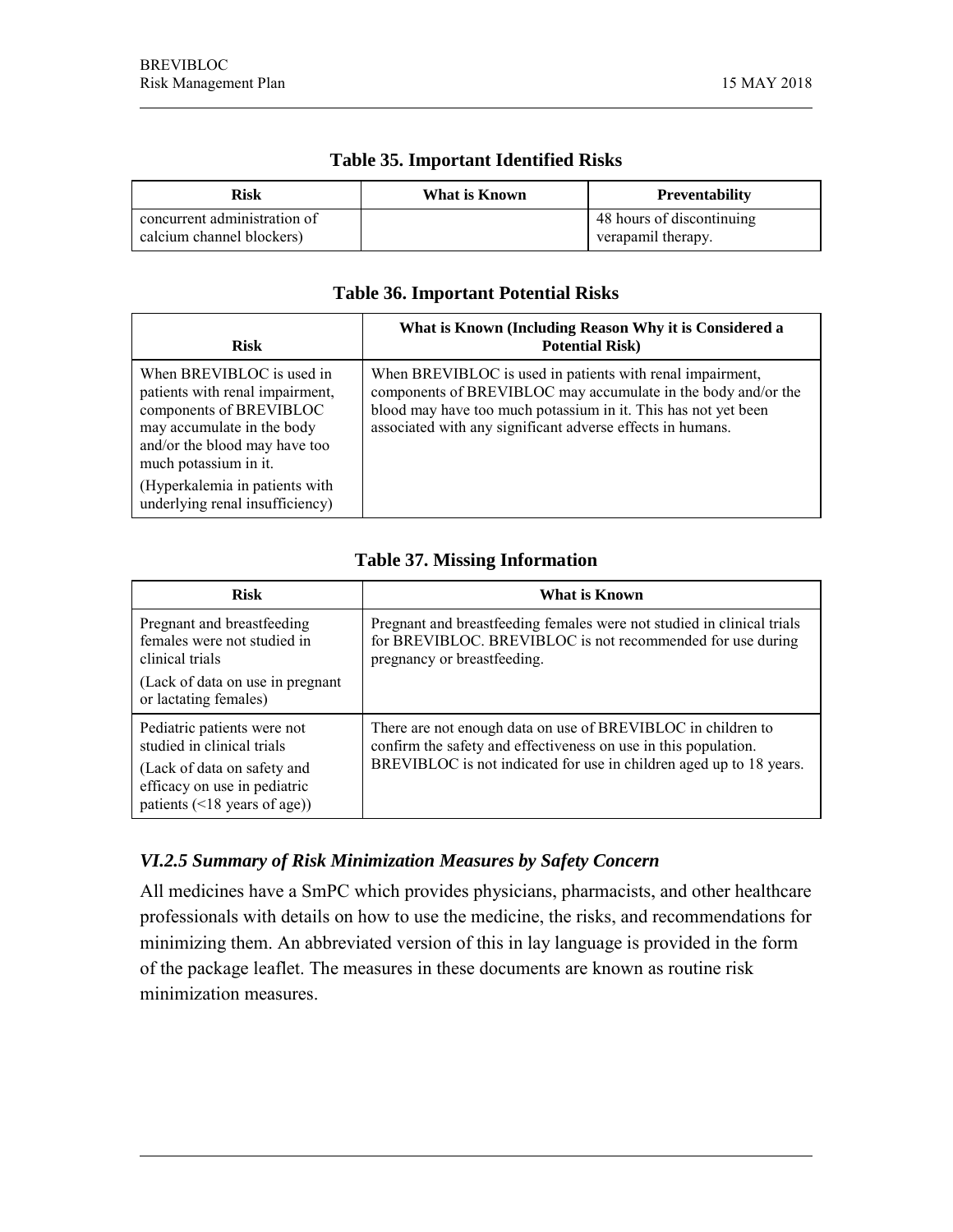| Risk                                                      | What is Known | <b>Preventability</b>                           |
|-----------------------------------------------------------|---------------|-------------------------------------------------|
| concurrent administration of<br>calcium channel blockers) |               | 48 hours of discontinuing<br>verapamil therapy. |

#### **Table 35. Important Identified Risks**

#### **Table 36. Important Potential Risks**

| <b>Risk</b>                                                                                                                                                                                                                                          | What is Known (Including Reason Why it is Considered a<br><b>Potential Risk)</b>                                                                                                                                                                           |
|------------------------------------------------------------------------------------------------------------------------------------------------------------------------------------------------------------------------------------------------------|------------------------------------------------------------------------------------------------------------------------------------------------------------------------------------------------------------------------------------------------------------|
| When BREVIBLOC is used in<br>patients with renal impairment,<br>components of BREVIBLOC<br>may accumulate in the body<br>and/or the blood may have too<br>much potassium in it.<br>(Hyperkalemia in patients with<br>underlying renal insufficiency) | When BREVIBLOC is used in patients with renal impairment,<br>components of BREVIBLOC may accumulate in the body and/or the<br>blood may have too much potassium in it. This has not yet been<br>associated with any significant adverse effects in humans. |

#### **Table 37. Missing Information**

| <b>Risk</b>                                                                                                                                                    | What is Known                                                                                                                                                                                          |
|----------------------------------------------------------------------------------------------------------------------------------------------------------------|--------------------------------------------------------------------------------------------------------------------------------------------------------------------------------------------------------|
| Pregnant and breastfeeding<br>females were not studied in<br>clinical trials                                                                                   | Pregnant and breastfeeding females were not studied in clinical trials<br>for BREVIBLOC. BREVIBLOC is not recommended for use during<br>pregnancy or breastfeeding.                                    |
| (Lack of data on use in pregnant)<br>or lactating females)                                                                                                     |                                                                                                                                                                                                        |
| Pediatric patients were not<br>studied in clinical trials<br>(Lack of data on safety and<br>efficacy on use in pediatric<br>patients $(\leq 18$ years of age)) | There are not enough data on use of BREVIBLOC in children to<br>confirm the safety and effectiveness on use in this population.<br>BREVIBLOC is not indicated for use in children aged up to 18 years. |

### *VI.2.5 Summary of Risk Minimization Measures by Safety Concern*

All medicines have a SmPC which provides physicians, pharmacists, and other healthcare professionals with details on how to use the medicine, the risks, and recommendations for minimizing them. An abbreviated version of this in lay language is provided in the form of the package leaflet. The measures in these documents are known as routine risk minimization measures.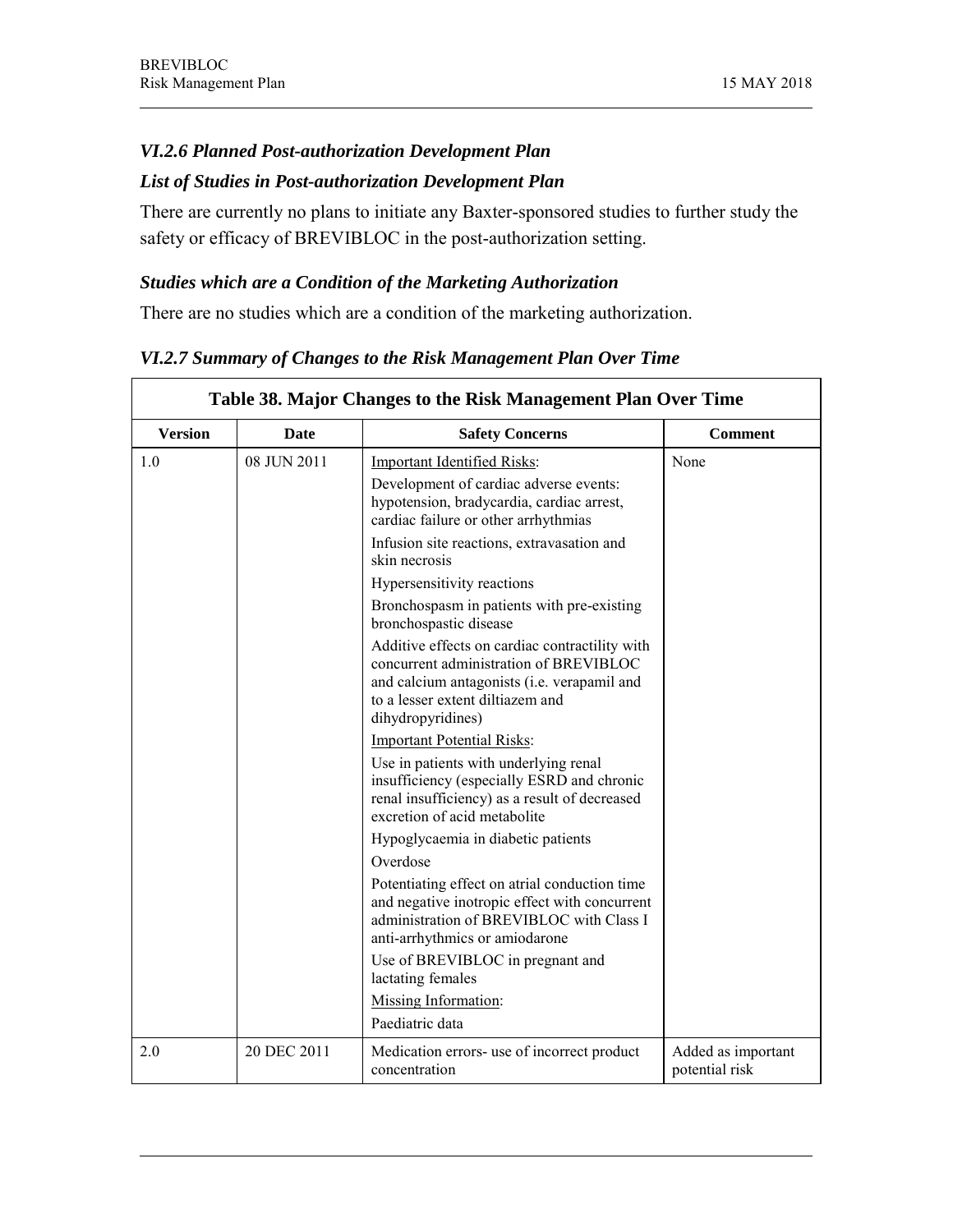## *VI.2.6 Planned Post-authorization Development Plan*

# *List of Studies in Post-authorization Development Plan*

There are currently no plans to initiate any Baxter-sponsored studies to further study the safety or efficacy of BREVIBLOC in the post-authorization setting.

#### *Studies which are a Condition of the Marketing Authorization*

There are no studies which are a condition of the marketing authorization.

|                | Table 38. Major Changes to the Risk Management Plan Over Time |                                                                                                                                                                                                  |                                      |  |
|----------------|---------------------------------------------------------------|--------------------------------------------------------------------------------------------------------------------------------------------------------------------------------------------------|--------------------------------------|--|
| <b>Version</b> | <b>Date</b>                                                   | <b>Safety Concerns</b>                                                                                                                                                                           | <b>Comment</b>                       |  |
| 1.0            | 08 JUN 2011                                                   | <b>Important Identified Risks:</b>                                                                                                                                                               | None                                 |  |
|                |                                                               | Development of cardiac adverse events:<br>hypotension, bradycardia, cardiac arrest,<br>cardiac failure or other arrhythmias                                                                      |                                      |  |
|                |                                                               | Infusion site reactions, extravasation and<br>skin necrosis                                                                                                                                      |                                      |  |
|                |                                                               | Hypersensitivity reactions                                                                                                                                                                       |                                      |  |
|                |                                                               | Bronchospasm in patients with pre-existing<br>bronchospastic disease                                                                                                                             |                                      |  |
|                |                                                               | Additive effects on cardiac contractility with<br>concurrent administration of BREVIBLOC<br>and calcium antagonists (i.e. verapamil and<br>to a lesser extent diltiazem and<br>dihydropyridines) |                                      |  |
|                |                                                               | <b>Important Potential Risks:</b>                                                                                                                                                                |                                      |  |
|                |                                                               | Use in patients with underlying renal<br>insufficiency (especially ESRD and chronic<br>renal insufficiency) as a result of decreased<br>excretion of acid metabolite                             |                                      |  |
|                |                                                               | Hypoglycaemia in diabetic patients                                                                                                                                                               |                                      |  |
|                |                                                               | Overdose                                                                                                                                                                                         |                                      |  |
|                |                                                               | Potentiating effect on atrial conduction time<br>and negative inotropic effect with concurrent<br>administration of BREVIBLOC with Class I<br>anti-arrhythmics or amiodarone                     |                                      |  |
|                |                                                               | Use of BREVIBLOC in pregnant and<br>lactating females                                                                                                                                            |                                      |  |
|                |                                                               | Missing Information:                                                                                                                                                                             |                                      |  |
|                |                                                               | Paediatric data                                                                                                                                                                                  |                                      |  |
| 2.0            | 20 DEC 2011                                                   | Medication errors- use of incorrect product<br>concentration                                                                                                                                     | Added as important<br>potential risk |  |

#### *VI.2.7 Summary of Changes to the Risk Management Plan Over Time*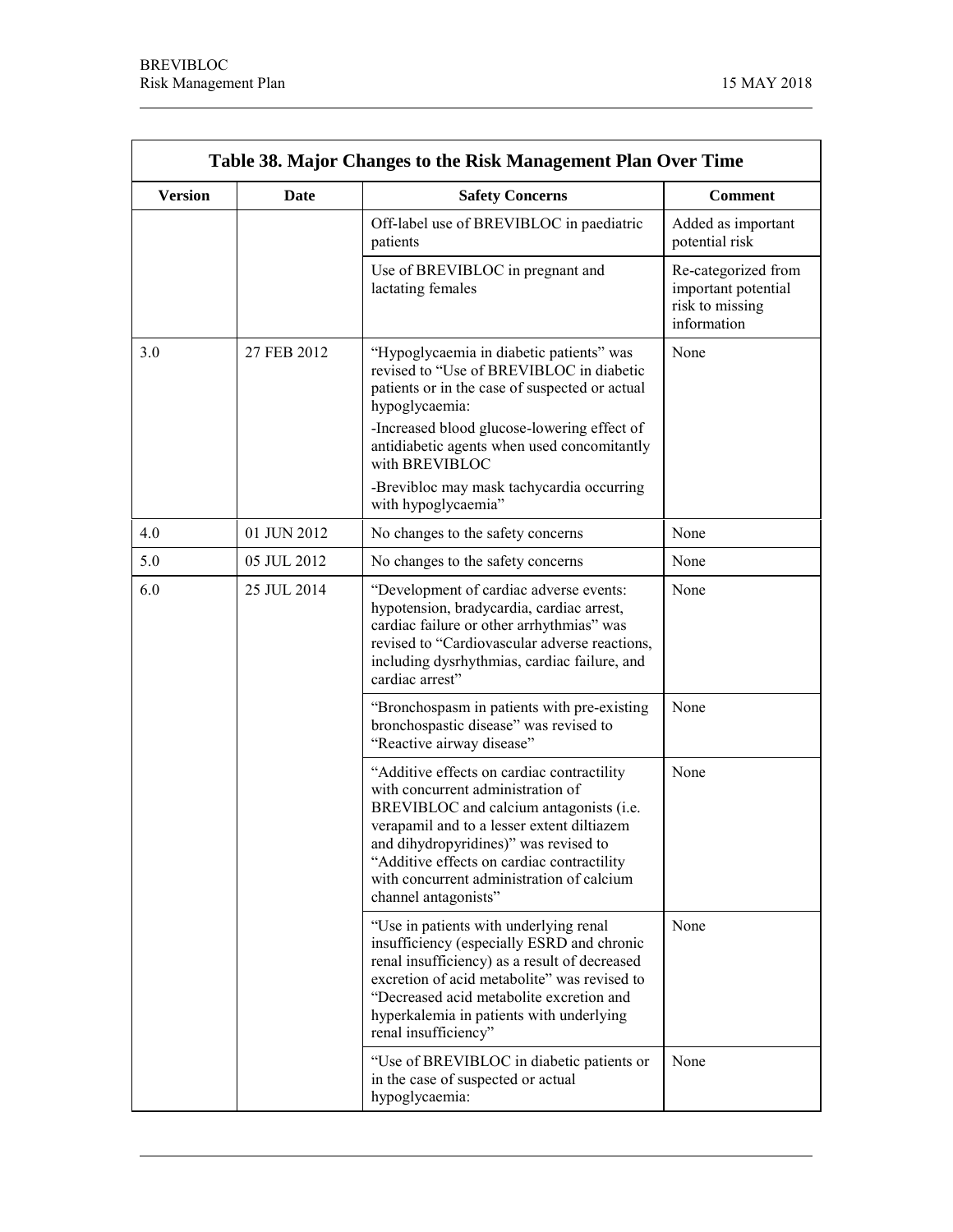r.

<u> 1989 - Johann Barn, mars ann an t-Amhain Aonaich an t-Aonaich an t-Aonaich ann an t-Aonaich ann an t-Aonaich</u>

 $\overline{\phantom{0}}$ 

٦

| Table 38. Major Changes to the Risk Management Plan Over Time |                                                                                                                                                                                                                                                       |                                                                                                                                                                                                                                                                                                                                      |                                                                              |  |
|---------------------------------------------------------------|-------------------------------------------------------------------------------------------------------------------------------------------------------------------------------------------------------------------------------------------------------|--------------------------------------------------------------------------------------------------------------------------------------------------------------------------------------------------------------------------------------------------------------------------------------------------------------------------------------|------------------------------------------------------------------------------|--|
| <b>Version</b>                                                | Date                                                                                                                                                                                                                                                  | <b>Safety Concerns</b>                                                                                                                                                                                                                                                                                                               | <b>Comment</b>                                                               |  |
|                                                               |                                                                                                                                                                                                                                                       | Off-label use of BREVIBLOC in paediatric<br>patients                                                                                                                                                                                                                                                                                 | Added as important<br>potential risk                                         |  |
|                                                               |                                                                                                                                                                                                                                                       | Use of BREVIBLOC in pregnant and<br>lactating females                                                                                                                                                                                                                                                                                | Re-categorized from<br>important potential<br>risk to missing<br>information |  |
| 3.0                                                           | 27 FEB 2012                                                                                                                                                                                                                                           | "Hypoglycaemia in diabetic patients" was<br>revised to "Use of BREVIBLOC in diabetic<br>patients or in the case of suspected or actual<br>hypoglycaemia:                                                                                                                                                                             | None                                                                         |  |
|                                                               |                                                                                                                                                                                                                                                       | -Increased blood glucose-lowering effect of<br>antidiabetic agents when used concomitantly<br>with BREVIBLOC                                                                                                                                                                                                                         |                                                                              |  |
|                                                               |                                                                                                                                                                                                                                                       | -Brevibloc may mask tachycardia occurring<br>with hypoglycaemia"                                                                                                                                                                                                                                                                     |                                                                              |  |
| 4.0                                                           | 01 JUN 2012                                                                                                                                                                                                                                           | No changes to the safety concerns                                                                                                                                                                                                                                                                                                    | None                                                                         |  |
| 5.0                                                           | 05 JUL 2012                                                                                                                                                                                                                                           | No changes to the safety concerns                                                                                                                                                                                                                                                                                                    | None                                                                         |  |
| 6.0<br>25 JUL 2014                                            | "Development of cardiac adverse events:<br>hypotension, bradycardia, cardiac arrest,<br>cardiac failure or other arrhythmias" was<br>revised to "Cardiovascular adverse reactions,<br>including dysrhythmias, cardiac failure, and<br>cardiac arrest" | None                                                                                                                                                                                                                                                                                                                                 |                                                                              |  |
|                                                               |                                                                                                                                                                                                                                                       | "Bronchospasm in patients with pre-existing<br>bronchospastic disease" was revised to<br>"Reactive airway disease"                                                                                                                                                                                                                   | None                                                                         |  |
|                                                               |                                                                                                                                                                                                                                                       | "Additive effects on cardiac contractility<br>with concurrent administration of<br>BREVIBLOC and calcium antagonists (i.e.<br>verapamil and to a lesser extent diltiazem<br>and dihydropyridines)" was revised to<br>"Additive effects on cardiac contractility<br>with concurrent administration of calcium<br>channel antagonists" | None                                                                         |  |
|                                                               |                                                                                                                                                                                                                                                       | "Use in patients with underlying renal<br>insufficiency (especially ESRD and chronic<br>renal insufficiency) as a result of decreased<br>excretion of acid metabolite" was revised to<br>"Decreased acid metabolite excretion and<br>hyperkalemia in patients with underlying<br>renal insufficiency"                                | None                                                                         |  |
|                                                               |                                                                                                                                                                                                                                                       | "Use of BREVIBLOC in diabetic patients or<br>in the case of suspected or actual<br>hypoglycaemia:                                                                                                                                                                                                                                    | None                                                                         |  |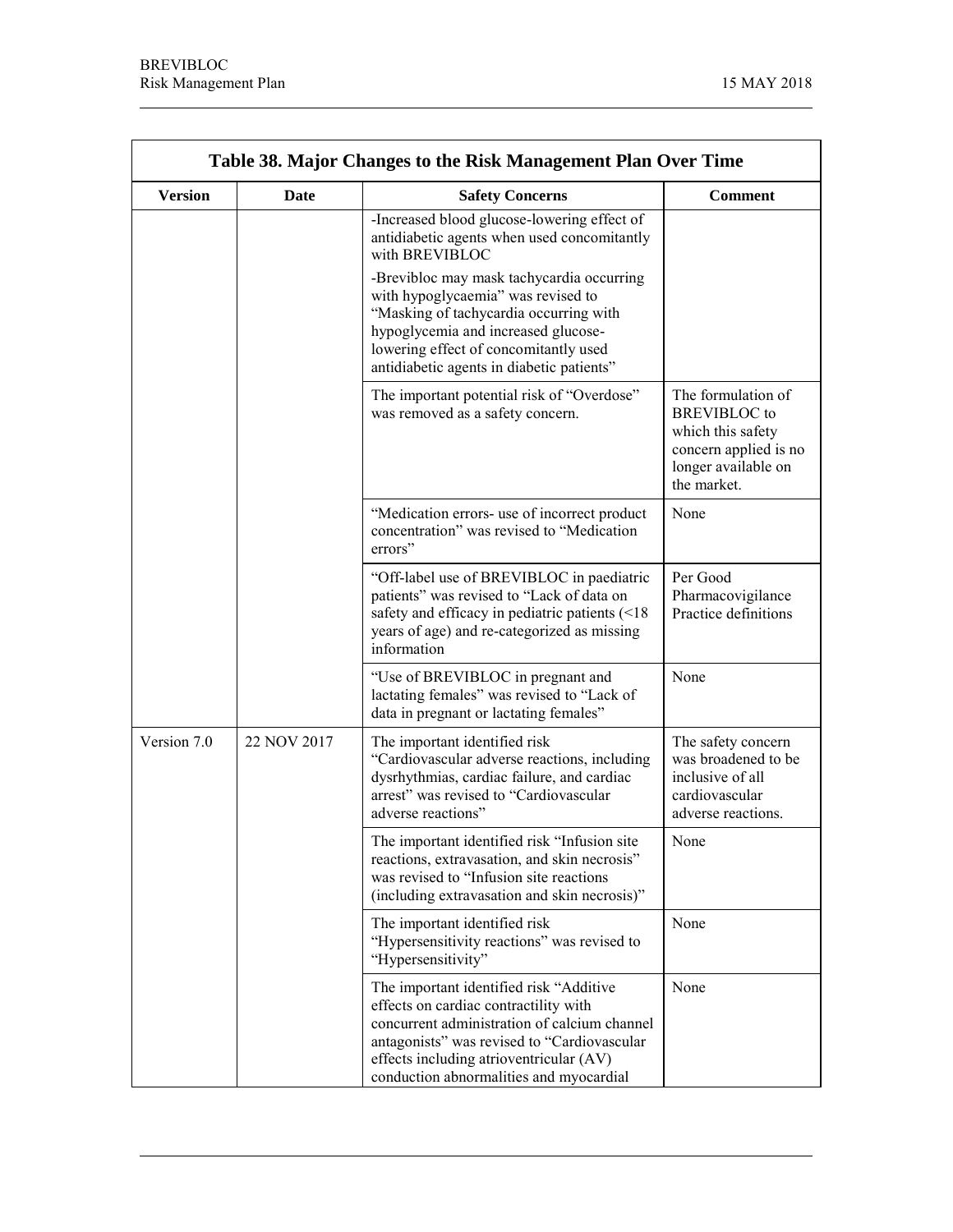j.

| Table 38. Major Changes to the Risk Management Plan Over Time |             |                                                                                                                                                                                                                                                                       |                                                                                                                               |
|---------------------------------------------------------------|-------------|-----------------------------------------------------------------------------------------------------------------------------------------------------------------------------------------------------------------------------------------------------------------------|-------------------------------------------------------------------------------------------------------------------------------|
| <b>Version</b>                                                | Date        | <b>Safety Concerns</b>                                                                                                                                                                                                                                                | <b>Comment</b>                                                                                                                |
|                                                               |             | -Increased blood glucose-lowering effect of<br>antidiabetic agents when used concomitantly<br>with BREVIBLOC                                                                                                                                                          |                                                                                                                               |
|                                                               |             | -Brevibloc may mask tachycardia occurring<br>with hypoglycaemia" was revised to<br>"Masking of tachycardia occurring with<br>hypoglycemia and increased glucose-<br>lowering effect of concomitantly used<br>antidiabetic agents in diabetic patients"                |                                                                                                                               |
|                                                               |             | The important potential risk of "Overdose"<br>was removed as a safety concern.                                                                                                                                                                                        | The formulation of<br><b>BREVIBLOC</b> to<br>which this safety<br>concern applied is no<br>longer available on<br>the market. |
|                                                               |             | "Medication errors- use of incorrect product<br>concentration" was revised to "Medication<br>errors"                                                                                                                                                                  | None                                                                                                                          |
|                                                               |             | "Off-label use of BREVIBLOC in paediatric<br>patients" was revised to "Lack of data on<br>safety and efficacy in pediatric patients $($ 18)<br>years of age) and re-categorized as missing<br>information                                                             | Per Good<br>Pharmacovigilance<br>Practice definitions                                                                         |
|                                                               |             | "Use of BREVIBLOC in pregnant and<br>lactating females" was revised to "Lack of<br>data in pregnant or lactating females"                                                                                                                                             | None                                                                                                                          |
| Version 7.0                                                   | 22 NOV 2017 | The important identified risk<br>"Cardiovascular adverse reactions, including<br>dysrhythmias, cardiac failure, and cardiac<br>arrest" was revised to "Cardiovascular<br>adverse reactions"                                                                           | The safety concern<br>was broadened to be<br>inclusive of all<br>cardiovascular<br>adverse reactions.                         |
|                                                               |             | The important identified risk "Infusion site<br>reactions, extravasation, and skin necrosis"<br>was revised to "Infusion site reactions"<br>(including extravasation and skin necrosis)"                                                                              | None                                                                                                                          |
|                                                               |             | The important identified risk<br>"Hypersensitivity reactions" was revised to<br>"Hypersensitivity"                                                                                                                                                                    | None                                                                                                                          |
|                                                               |             | The important identified risk "Additive<br>effects on cardiac contractility with<br>concurrent administration of calcium channel<br>antagonists" was revised to "Cardiovascular<br>effects including atrioventricular (AV)<br>conduction abnormalities and myocardial | None                                                                                                                          |